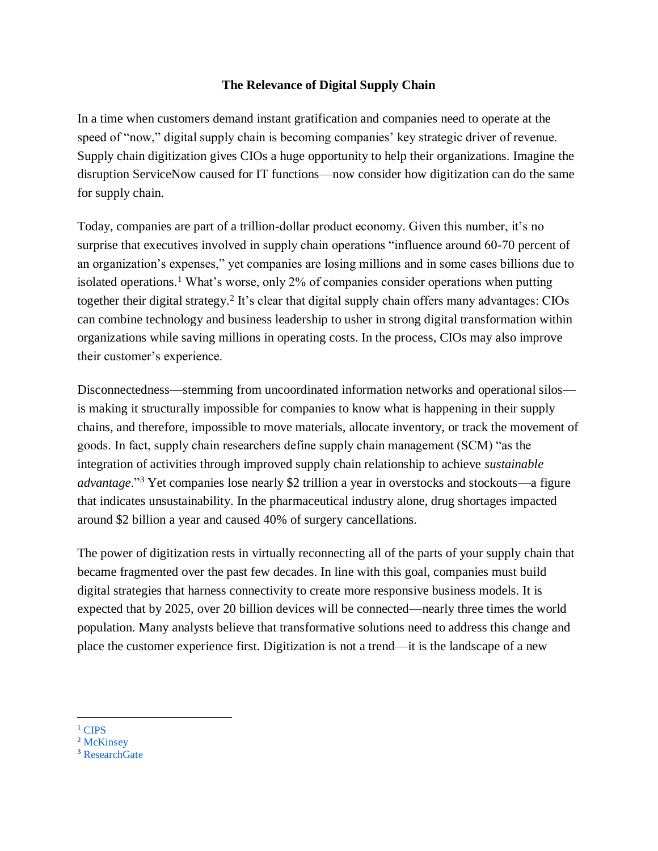### **The Relevance of Digital Supply Chain**

In a time when customers demand instant gratification and companies need to operate at the speed of "now," digital supply chain is becoming companies' key strategic driver of revenue. Supply chain digitization gives CIOs a huge opportunity to help their organizations. Imagine the disruption ServiceNow caused for IT functions––now consider how digitization can do the same for supply chain.

Today, companies are part of a trillion-dollar product economy. Given this number, it's no surprise that executives involved in supply chain operations "influence around 60-70 percent of an organization's expenses," yet companies are losing millions and in some cases billions due to isolated operations.<sup>1</sup> What's worse, only 2% of companies consider operations when putting together their digital strategy.<sup>2</sup> It's clear that digital supply chain offers many advantages: CIOs can combine technology and business leadership to usher in strong digital transformation within organizations while saving millions in operating costs. In the process, CIOs may also improve their customer's experience.

Disconnectedness—stemming from uncoordinated information networks and operational silos is making it structurally impossible for companies to know what is happening in their supply chains, and therefore, impossible to move materials, allocate inventory, or track the movement of goods. In fact, supply chain researchers define supply chain management (SCM) "as the integration of activities through improved supply chain relationship to achieve *sustainable advantage*."<sup>3</sup> Yet companies lose nearly \$2 trillion a year in overstocks and stockouts––a figure that indicates unsustainability. In the pharmaceutical industry alone, drug shortages impacted around \$2 billion a year and caused 40% of surgery cancellations.

The power of digitization rests in virtually reconnecting all of the parts of your supply chain that became fragmented over the past few decades. In line with this goal, companies must build digital strategies that harness connectivity to create more responsive business models. It is expected that by 2025, over 20 billion devices will be connected—nearly three times the world population. Many analysts believe that transformative solutions need to address this change and place the customer experience first. Digitization is not a trend––it is the landscape of a new

 $\overline{a}$ <sup>1</sup> [CIPS](https://www.cips.org/en/supply-management/opinion/2015/october/three-ways-to-communicate-the-value-of-supply-chain-management-to-the-board/)

<sup>&</sup>lt;sup>2</sup> [McKinsey](https://www.mckinsey.com/business-functions/digital-mckinsey/our-insights/the-case-for-digital-reinvention)

<sup>&</sup>lt;sup>3</sup> [ResearchGate](https://www.researchgate.net/publication/274661199_Urgency_in_Managing_the_Risk_in_Supply_Chain_Amongst_Indonesian_Manufacturing_Companies)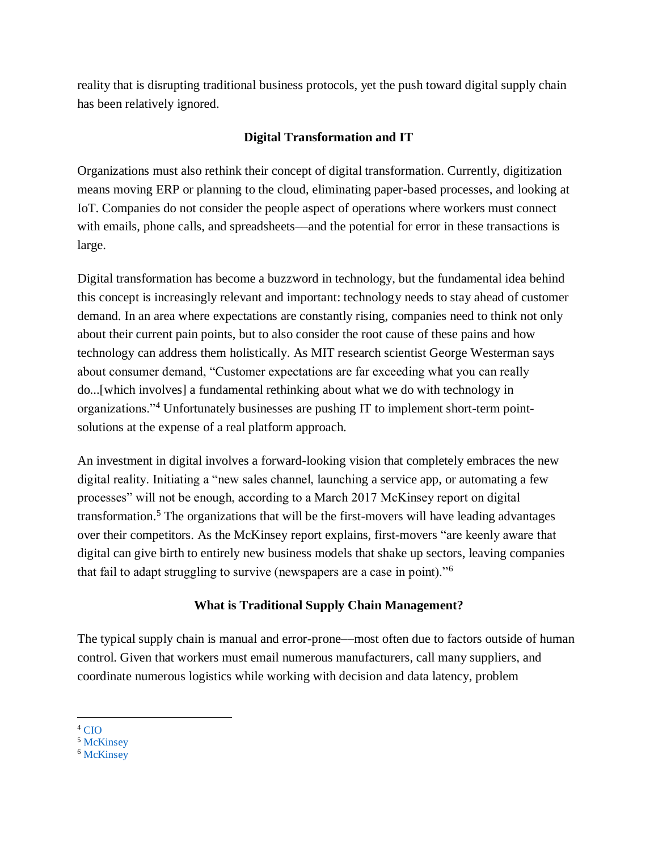reality that is disrupting traditional business protocols, yet the push toward digital supply chain has been relatively ignored.

## **Digital Transformation and IT**

Organizations must also rethink their concept of digital transformation. Currently, digitization means moving ERP or planning to the cloud, eliminating paper-based processes, and looking at IoT. Companies do not consider the people aspect of operations where workers must connect with emails, phone calls, and spreadsheets—and the potential for error in these transactions is large.

Digital transformation has become a buzzword in technology, but the fundamental idea behind this concept is increasingly relevant and important: technology needs to stay ahead of customer demand. In an area where expectations are constantly rising, companies need to think not only about their current pain points, but to also consider the root cause of these pains and how technology can address them holistically. As MIT research scientist George Westerman says about consumer demand, "Customer expectations are far exceeding what you can really do...[which involves] a fundamental rethinking about what we do with technology in organizations."<sup>4</sup> Unfortunately businesses are pushing IT to implement short-term pointsolutions at the expense of a real platform approach.

An investment in digital involves a forward-looking vision that completely embraces the new digital reality. Initiating a "new sales channel, launching a service app, or automating a few processes" will not be enough, according to a March 2017 McKinsey report on digital transformation.<sup>5</sup> The organizations that will be the first-movers will have leading advantages over their competitors. As the McKinsey report explains, first-movers "are keenly aware that digital can give birth to entirely new business models that shake up sectors, leaving companies that fail to adapt struggling to survive (newspapers are a case in point)."<sup>6</sup>

# **What is Traditional Supply Chain Management?**

The typical supply chain is manual and error-prone––most often due to factors outside of human control. Given that workers must email numerous manufacturers, call many suppliers, and coordinate numerous logistics while working with decision and data latency, problem

 $\overline{a}$  $4 \text{CO}$ 

<sup>5</sup> [McKinsey](https://www.mckinsey.com/industries/financial-services/our-insights/a-roadmap-for-a-digital-transformation)

<sup>6</sup> [McKinsey](https://www.mckinsey.com/industries/financial-services/our-insights/a-roadmap-for-a-digital-transformation)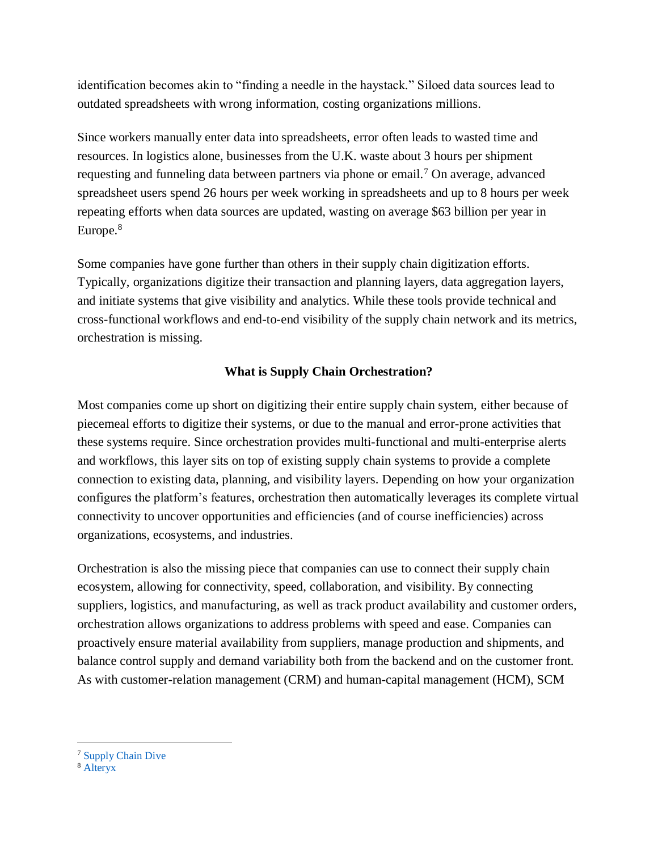identification becomes akin to "finding a needle in the haystack." Siloed data sources lead to outdated spreadsheets with wrong information, costing organizations millions.

Since workers manually enter data into spreadsheets, error often leads to wasted time and resources. In logistics alone, businesses from the U.K. waste about 3 hours per shipment requesting and funneling data between partners via phone or email.<sup>7</sup> On average, advanced spreadsheet users spend 26 hours per week working in spreadsheets and up to 8 hours per week repeating efforts when data sources are updated, wasting on average \$63 billion per year in Europe.<sup>8</sup>

Some companies have gone further than others in their supply chain digitization efforts. Typically, organizations digitize their transaction and planning layers, data aggregation layers, and initiate systems that give visibility and analytics. While these tools provide technical and cross-functional workflows and end-to-end visibility of the supply chain network and its metrics, orchestration is missing.

### **What is Supply Chain Orchestration?**

Most companies come up short on digitizing their entire supply chain system, either because of piecemeal efforts to digitize their systems, or due to the manual and error-prone activities that these systems require. Since orchestration provides multi-functional and multi-enterprise alerts and workflows, this layer sits on top of existing supply chain systems to provide a complete connection to existing data, planning, and visibility layers. Depending on how your organization configures the platform's features, orchestration then automatically leverages its complete virtual connectivity to uncover opportunities and efficiencies (and of course inefficiencies) across organizations, ecosystems, and industries.

Orchestration is also the missing piece that companies can use to connect their supply chain ecosystem, allowing for connectivity, speed, collaboration, and visibility. By connecting suppliers, logistics, and manufacturing, as well as track product availability and customer orders, orchestration allows organizations to address problems with speed and ease. Companies can proactively ensure material availability from suppliers, manage production and shipments, and balance control supply and demand variability both from the backend and on the customer front. As with customer-relation management (CRM) and human-capital management (HCM), SCM

 $\overline{a}$ 

<sup>&</sup>lt;sup>7</sup> [Supply Chain Dive](https://www.supplychaindive.com/news/digital-freight-forwarding-supply-chain-inefficiency/527945/)

<sup>8</sup> [Alteryx](https://www.alteryx.com/press-releases/2017-10-31-misuse-excel-and-other-data-spreadsheets-cost-european-businesses-eu55)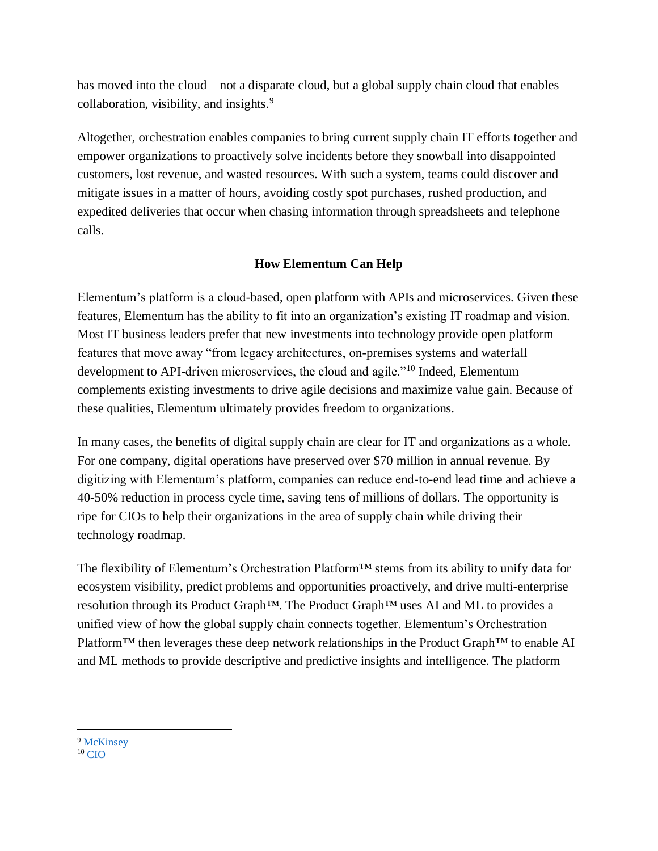has moved into the cloud––not a disparate cloud, but a global supply chain cloud that enables collaboration, visibility, and insights.<sup>9</sup>

Altogether, orchestration enables companies to bring current supply chain IT efforts together and empower organizations to proactively solve incidents before they snowball into disappointed customers, lost revenue, and wasted resources. With such a system, teams could discover and mitigate issues in a matter of hours, avoiding costly spot purchases, rushed production, and expedited deliveries that occur when chasing information through spreadsheets and telephone calls.

# **How Elementum Can Help**

Elementum's platform is a cloud-based, open platform with APIs and microservices. Given these features, Elementum has the ability to fit into an organization's existing IT roadmap and vision. Most IT business leaders prefer that new investments into technology provide open platform features that move away "from legacy architectures, on-premises systems and waterfall development to API-driven microservices, the cloud and agile."<sup>10</sup> Indeed, Elementum complements existing investments to drive agile decisions and maximize value gain. Because of these qualities, Elementum ultimately provides freedom to organizations.

In many cases, the benefits of digital supply chain are clear for IT and organizations as a whole. For one company, digital operations have preserved over \$70 million in annual revenue. By digitizing with Elementum's platform, companies can reduce end-to-end lead time and achieve a 40-50% reduction in process cycle time, saving tens of millions of dollars. The opportunity is ripe for CIOs to help their organizations in the area of supply chain while driving their technology roadmap.

The flexibility of Elementum's Orchestration Platform™ stems from its ability to unify data for ecosystem visibility, predict problems and opportunities proactively, and drive multi-enterprise resolution through its Product Graph™. The Product Graph™ uses AI and ML to provides a unified view of how the global supply chain connects together. Elementum's Orchestration Platform<sup>™</sup> then leverages these deep network relationships in the Product Graph™ to enable AI and ML methods to provide descriptive and predictive insights and intelligence. The platform

<sup>9</sup> [McKinsey](https://www.mckinsey.com/industries/financial-services/our-insights/a-roadmap-for-a-digital-transformation)

 $\overline{a}$ 

 $10$  [CIO](https://www.cio.com/article/3211428/digital-transformation/what-is-digital-transformation-a-necessary-disruption.html?utm_source=Adestra&utm_medium=email&utm_content=Title%3A%20What%20is%20digital%20transformation%3F%20A%20necessary%20disruption&utm_campaign=CIO%20Daily&utm_term=Editorial%20-%20CIO%20Daily&utm_date=20181212161023)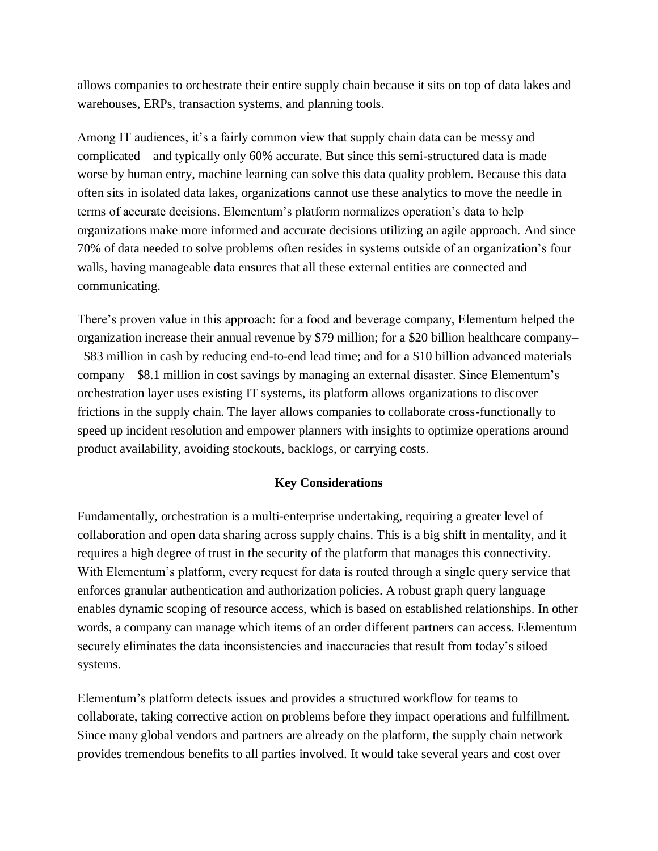allows companies to orchestrate their entire supply chain because it sits on top of data lakes and warehouses, ERPs, transaction systems, and planning tools.

Among IT audiences, it's a fairly common view that supply chain data can be messy and complicated––and typically only 60% accurate. But since this semi-structured data is made worse by human entry, machine learning can solve this data quality problem. Because this data often sits in isolated data lakes, organizations cannot use these analytics to move the needle in terms of accurate decisions. Elementum's platform normalizes operation's data to help organizations make more informed and accurate decisions utilizing an agile approach. And since 70% of data needed to solve problems often resides in systems outside of an organization's four walls, having manageable data ensures that all these external entities are connected and communicating.

There's proven value in this approach: for a food and beverage company, Elementum helped the organization increase their annual revenue by \$79 million; for a \$20 billion healthcare company– –\$83 million in cash by reducing end-to-end lead time; and for a \$10 billion advanced materials company––\$8.1 million in cost savings by managing an external disaster. Since Elementum's orchestration layer uses existing IT systems, its platform allows organizations to discover frictions in the supply chain. The layer allows companies to collaborate cross-functionally to speed up incident resolution and empower planners with insights to optimize operations around product availability, avoiding stockouts, backlogs, or carrying costs.

#### **Key Considerations**

Fundamentally, orchestration is a multi-enterprise undertaking, requiring a greater level of collaboration and open data sharing across supply chains. This is a big shift in mentality, and it requires a high degree of trust in the security of the platform that manages this connectivity. With Elementum's platform, every request for data is routed through a single query service that enforces granular authentication and authorization policies. A robust graph query language enables dynamic scoping of resource access, which is based on established relationships. In other words, a company can manage which items of an order different partners can access. Elementum securely eliminates the data inconsistencies and inaccuracies that result from today's siloed systems.

Elementum's platform detects issues and provides a structured workflow for teams to collaborate, taking corrective action on problems before they impact operations and fulfillment. Since many global vendors and partners are already on the platform, the supply chain network provides tremendous benefits to all parties involved. It would take several years and cost over